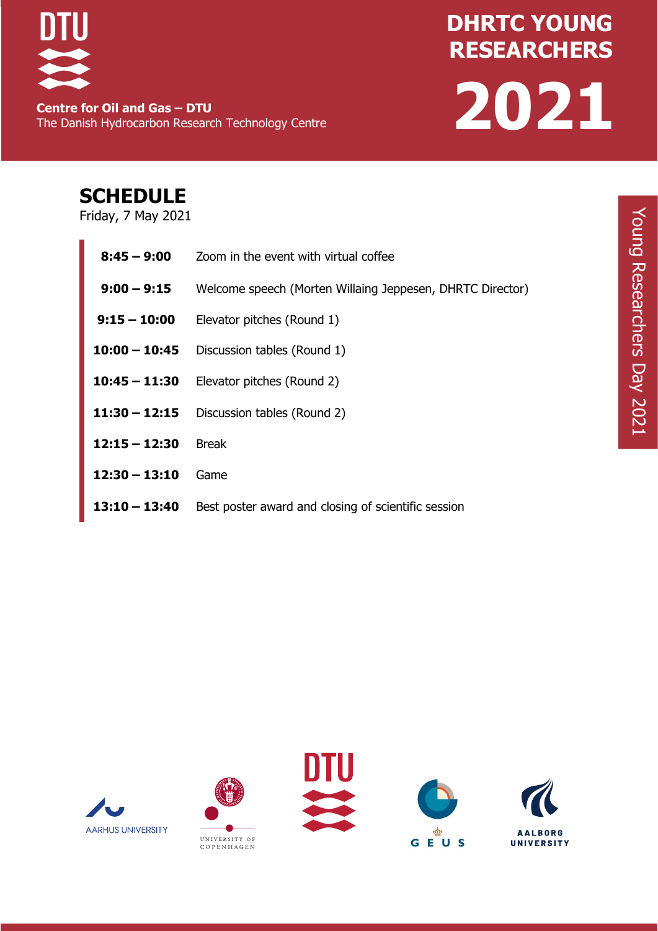

**Centre for Oil and Gas – DTU** The Danish Hydrocarbon Research Technology Centre

# **DHRTC YOUNG RESEARCHERS DAY 2021**

## **SCHEDULE**

Friday, 7 May 2021

| $8:45 - 9:00$   | Zoom in the event with virtual coffee                     |  |  |
|-----------------|-----------------------------------------------------------|--|--|
| $9:00 - 9:15$   | Welcome speech (Morten Willaing Jeppesen, DHRTC Director) |  |  |
| $9:15 - 10:00$  | Elevator pitches (Round 1)                                |  |  |
|                 | $10:00 - 10:45$ Discussion tables (Round 1)               |  |  |
|                 | <b>10:45 – 11:30</b> Elevator pitches (Round 2)           |  |  |
|                 | $11:30 - 12:15$ Discussion tables (Round 2)               |  |  |
| $12:15 - 12:30$ | <b>Break</b>                                              |  |  |
| $12:30 - 13:10$ | Game                                                      |  |  |
| $13:10 - 13:40$ | Best poster award and closing of scientific session       |  |  |









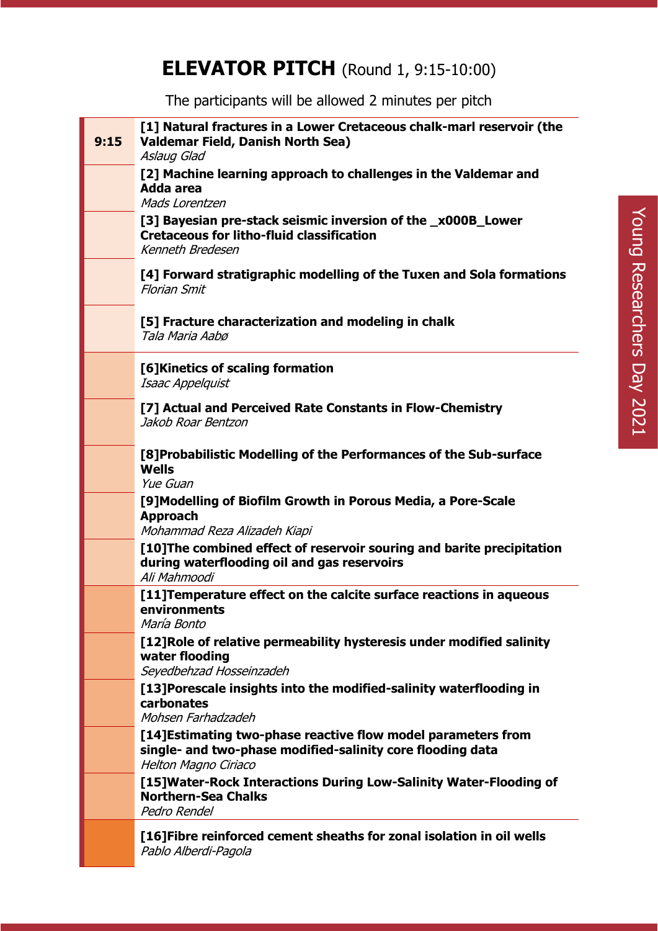## **ELEVATOR PITCH** (Round 1, 9:15-10:00)

The participants will be allowed 2 minutes per pitch

| 9:15 | [1] Natural fractures in a Lower Cretaceous chalk-marl reservoir (the<br><b>Valdemar Field, Danish North Sea)</b><br>Aslaug Glad                    |
|------|-----------------------------------------------------------------------------------------------------------------------------------------------------|
|      | [2] Machine learning approach to challenges in the Valdemar and<br>Adda area<br>Mads Lorentzen                                                      |
|      | [3] Bayesian pre-stack seismic inversion of the _x000B_Lower<br><b>Cretaceous for litho-fluid classification</b><br>Kenneth Bredesen                |
|      | [4] Forward stratigraphic modelling of the Tuxen and Sola formations<br><b>Florian Smit</b>                                                         |
|      | [5] Fracture characterization and modeling in chalk<br>Tala Maria Aabø                                                                              |
|      | [6] Kinetics of scaling formation<br>Isaac Appelquist                                                                                               |
|      | [7] Actual and Perceived Rate Constants in Flow-Chemistry<br>Jakob Roar Bentzon                                                                     |
|      | [8] Probabilistic Modelling of the Performances of the Sub-surface<br><b>Wells</b><br>Yue Guan                                                      |
|      | [9] Modelling of Biofilm Growth in Porous Media, a Pore-Scale<br><b>Approach</b><br>Mohammad Reza Alizadeh Kiapi                                    |
|      | [10] The combined effect of reservoir souring and barite precipitation<br>during waterflooding oil and gas reservoirs<br>Ali Mahmoodi               |
|      | [11] Temperature effect on the calcite surface reactions in aqueous<br>environments<br>María Bonto                                                  |
|      | [12] Role of relative permeability hysteresis under modified salinity<br>water flooding<br>Seyedbehzad Hosseinzadeh                                 |
|      | [13] Porescale insights into the modified-salinity waterflooding in<br>carbonates<br>Mohsen Farhadzadeh                                             |
|      | [14] Estimating two-phase reactive flow model parameters from<br>single- and two-phase modified-salinity core flooding data<br>Helton Magno Ciriaco |
|      | [15] Water-Rock Interactions During Low-Salinity Water-Flooding of<br><b>Northern-Sea Chalks</b><br>Pedro Rendel                                    |
|      | [16] Fibre reinforced cement sheaths for zonal isolation in oil wells<br>Pablo Alberdi-Pagola                                                       |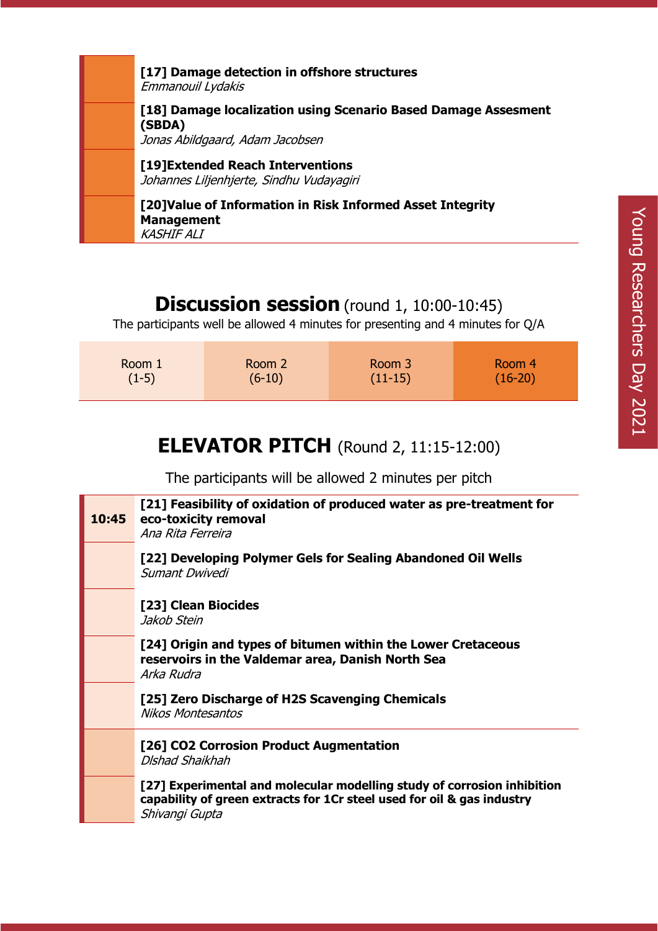| [17] Damage detection in offshore structures<br>Emmanouil Lydakis                                           |
|-------------------------------------------------------------------------------------------------------------|
| [18] Damage localization using Scenario Based Damage Assesment<br>(SBDA)<br>Jonas Abildgaard, Adam Jacobsen |
| [19] Extended Reach Interventions<br>Johannes Liljenhjerte, Sindhu Vudayagiri                               |
| [20] Value of Information in Risk Informed Asset Integrity<br><b>Management</b><br><b>KASHIF ALI</b>        |

#### **Discussion session** (round 1, 10:00-10:45)

The participants well be allowed 4 minutes for presenting and 4 minutes for Q/A

| Room 1  | Room 2   | Room 3    | Room 4    |
|---------|----------|-----------|-----------|
| $(1-5)$ | $(6-10)$ | $(11-15)$ | $(16-20)$ |

# **ELEVATOR PITCH** (Round 2, 11:15-12:00)

The participants will be allowed 2 minutes per pitch

| 10:45 | [21] Feasibility of oxidation of produced water as pre-treatment for<br>eco-toxicity removal<br>Ana Rita Ferreira                                                   |
|-------|---------------------------------------------------------------------------------------------------------------------------------------------------------------------|
|       | [22] Developing Polymer Gels for Sealing Abandoned Oil Wells<br>Sumant Dwivedi                                                                                      |
|       | [23] Clean Biocides<br>Jakob Stein                                                                                                                                  |
|       | [24] Origin and types of bitumen within the Lower Cretaceous<br>reservoirs in the Valdemar area, Danish North Sea<br>Arka Rudra                                     |
|       | [25] Zero Discharge of H2S Scavenging Chemicals<br><b>Nikos Montesantos</b>                                                                                         |
|       | [26] CO2 Corrosion Product Augmentation<br>Dishad Shaikhah                                                                                                          |
|       | [27] Experimental and molecular modelling study of corrosion inhibition<br>capability of green extracts for 1Cr steel used for oil & gas industry<br>Shivangi Gupta |